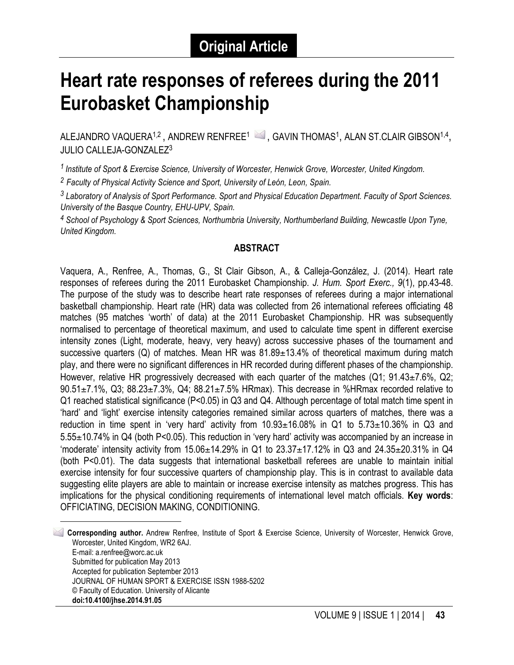# **Heart rate responses of referees during the 2011 Eurobasket Championship**

ALEJANDRO VAQUERA<sup>1,2</sup>, ANDREW RENFREE<sup>1</sup> 3, GAVIN THOMAS<sup>1</sup>, ALAN ST.CLAIR GIBSON<sup>1,4</sup>, JULIO CALLEJA-GONZALEZ3

*<sup>1</sup> Institute of Sport & Exercise Science, University of Worcester, Henwick Grove, Worcester, United Kingdom.*

*<sup>2</sup> Faculty of Physical Activity Science and Sport, University of León, Leon, Spain.*

*<sup>3</sup> Laboratory of Analysis of Sport Performance. Sport and Physical Education Department. Faculty of Sport Sciences. University of the Basque Country, EHU-UPV, Spain.*

*<sup>4</sup> School of Psychology & Sport Sciences, Northumbria University, Northumberland Building, Newcastle Upon Tyne, United Kingdom.* 

#### **ABSTRACT**

Vaquera, A., Renfree, A., Thomas, G., St Clair Gibson, A., & Calleja-González, J. (2014). Heart rate responses of referees during the 2011 Eurobasket Championship. *J. Hum. Sport Exerc., 9*(1), pp.43-48. The purpose of the study was to describe heart rate responses of referees during a major international basketball championship. Heart rate (HR) data was collected from 26 international referees officiating 48 matches (95 matches 'worth' of data) at the 2011 Eurobasket Championship. HR was subsequently normalised to percentage of theoretical maximum, and used to calculate time spent in different exercise intensity zones (Light, moderate, heavy, very heavy) across successive phases of the tournament and successive quarters (Q) of matches. Mean HR was  $81.89 \pm 13.4\%$  of theoretical maximum during match play, and there were no significant differences in HR recorded during different phases of the championship. However, relative HR progressively decreased with each quarter of the matches  $(Q1; 91.43<sub>\pm</sub>7.6%, Q2;$  $90.51\pm7.1\%$ , Q3; 88.23 $\pm$ 7.3%, Q4; 88.21 $\pm$ 7.5% HRmax). This decrease in %HRmax recorded relative to Q1 reached statistical significance (P<0.05) in Q3 and Q4. Although percentage of total match time spent in 'hard' and 'light' exercise intensity categories remained similar across quarters of matches, there was a reduction in time spent in 'very hard' activity from  $10.93\pm16.08\%$  in Q1 to  $5.73\pm10.36\%$  in Q3 and 5.55±10.74% in Q4 (both P<0.05). This reduction in 'very hard' activity was accompanied by an increase in 'moderate' intensity activity from 15.06±14.29% in Q1 to 23.37±17.12% in Q3 and 24.35±20.31% in Q4 (both P<0.01). The data suggests that international basketball referees are unable to maintain initial exercise intensity for four successive quarters of championship play. This is in contrast to available data suggesting elite players are able to maintain or increase exercise intensity as matches progress. This has implications for the physical conditioning requirements of international level match officials. **Key words**: OFFICIATING, DECISION MAKING, CONDITIONING.

 1 **Corresponding author.** Andrew Renfree, Institute of Sport & Exercise Science, University of Worcester, Henwick Grove, Worcester, United Kingdom, WR2 6AJ. E-mail: a.renfree@worc.ac.uk Submitted for publication May 2013 Accepted for publication September 2013 JOURNAL OF HUMAN SPORT & EXERCISE ISSN 1988-5202 © Faculty of Education. University of Alicante **doi:10.4100/jhse.2014.91.05**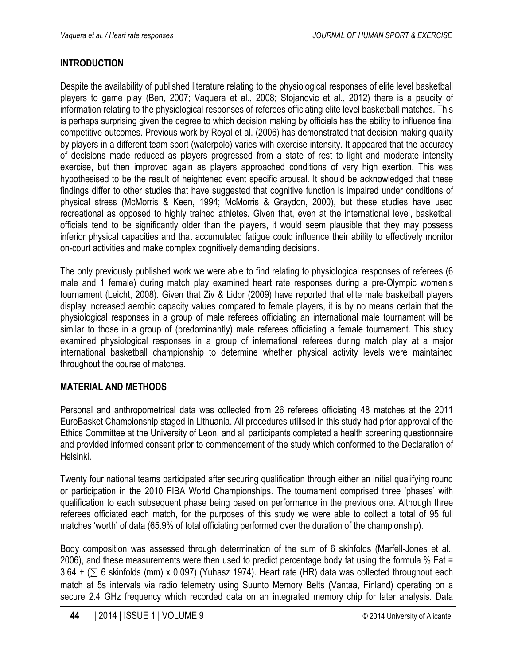## **INTRODUCTION**

Despite the availability of published literature relating to the physiological responses of elite level basketball players to game play (Ben, 2007; Vaquera et al., 2008; Stojanovic et al., 2012) there is a paucity of information relating to the physiological responses of referees officiating elite level basketball matches. This is perhaps surprising given the degree to which decision making by officials has the ability to influence final competitive outcomes. Previous work by Royal et al. (2006) has demonstrated that decision making quality by players in a different team sport (waterpolo) varies with exercise intensity. It appeared that the accuracy of decisions made reduced as players progressed from a state of rest to light and moderate intensity exercise, but then improved again as players approached conditions of very high exertion. This was hypothesised to be the result of heightened event specific arousal. It should be acknowledged that these findings differ to other studies that have suggested that cognitive function is impaired under conditions of physical stress (McMorris & Keen, 1994; McMorris & Graydon, 2000), but these studies have used recreational as opposed to highly trained athletes. Given that, even at the international level, basketball officials tend to be significantly older than the players, it would seem plausible that they may possess inferior physical capacities and that accumulated fatigue could influence their ability to effectively monitor on-court activities and make complex cognitively demanding decisions.

The only previously published work we were able to find relating to physiological responses of referees (6 male and 1 female) during match play examined heart rate responses during a pre-Olympic women's tournament (Leicht, 2008). Given that Ziv & Lidor (2009) have reported that elite male basketball players display increased aerobic capacity values compared to female players, it is by no means certain that the physiological responses in a group of male referees officiating an international male tournament will be similar to those in a group of (predominantly) male referees officiating a female tournament. This study examined physiological responses in a group of international referees during match play at a major international basketball championship to determine whether physical activity levels were maintained throughout the course of matches.

# **MATERIAL AND METHODS**

Personal and anthropometrical data was collected from 26 referees officiating 48 matches at the 2011 EuroBasket Championship staged in Lithuania. All procedures utilised in this study had prior approval of the Ethics Committee at the University of Leon, and all participants completed a health screening questionnaire and provided informed consent prior to commencement of the study which conformed to the Declaration of Helsinki.

Twenty four national teams participated after securing qualification through either an initial qualifying round or participation in the 2010 FIBA World Championships. The tournament comprised three 'phases' with qualification to each subsequent phase being based on performance in the previous one. Although three referees officiated each match, for the purposes of this study we were able to collect a total of 95 full matches 'worth' of data (65.9% of total officiating performed over the duration of the championship).

Body composition was assessed through determination of the sum of 6 skinfolds (Marfell-Jones et al., 2006), and these measurements were then used to predict percentage body fat using the formula % Fat = 3.64 + ( $\Sigma$  6 skinfolds (mm) x 0.097) (Yuhasz 1974). Heart rate (HR) data was collected throughout each match at 5s intervals via radio telemetry using Suunto Memory Belts (Vantaa, Finland) operating on a secure 2.4 GHz frequency which recorded data on an integrated memory chip for later analysis. Data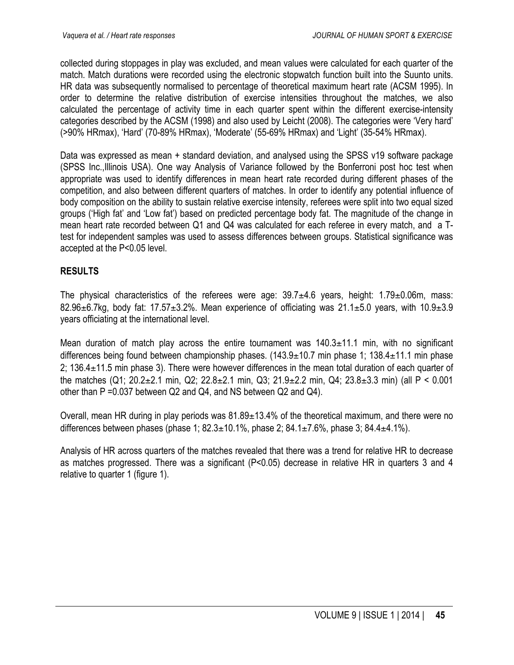collected during stoppages in play was excluded, and mean values were calculated for each quarter of the match. Match durations were recorded using the electronic stopwatch function built into the Suunto units. HR data was subsequently normalised to percentage of theoretical maximum heart rate (ACSM 1995). In order to determine the relative distribution of exercise intensities throughout the matches, we also calculated the percentage of activity time in each quarter spent within the different exercise-intensity categories described by the ACSM (1998) and also used by Leicht (2008). The categories were 'Very hard' (>90% HRmax), 'Hard' (70-89% HRmax), 'Moderate' (55-69% HRmax) and 'Light' (35-54% HRmax).

Data was expressed as mean + standard deviation, and analysed using the SPSS v19 software package (SPSS Inc.,Illinois USA). One way Analysis of Variance followed by the Bonferroni post hoc test when appropriate was used to identify differences in mean heart rate recorded during different phases of the competition, and also between different quarters of matches. In order to identify any potential influence of body composition on the ability to sustain relative exercise intensity, referees were split into two equal sized groups ('High fat' and 'Low fat') based on predicted percentage body fat. The magnitude of the change in mean heart rate recorded between Q1 and Q4 was calculated for each referee in every match, and a Ttest for independent samples was used to assess differences between groups. Statistical significance was accepted at the P<0.05 level.

## **RESULTS**

The physical characteristics of the referees were age:  $39.7\pm4.6$  years, height:  $1.79\pm0.06$ m, mass: 82.96 $\pm$ 6.7kg, body fat: 17.57 $\pm$ 3.2%. Mean experience of officiating was 21.1 $\pm$ 5.0 years, with 10.9 $\pm$ 3.9 years officiating at the international level.

Mean duration of match play across the entire tournament was  $140.3 \pm 11.1$  min, with no significant differences being found between championship phases. (143.9±10.7 min phase 1; 138.4±11.1 min phase 2; 136.4±11.5 min phase 3). There were however differences in the mean total duration of each quarter of the matches (Q1; 20.2±2.1 min, Q2; 22.8±2.1 min, Q3; 21.9±2.2 min, Q4; 23.8±3.3 min) (all P < 0.001 other than P =0.037 between Q2 and Q4, and NS between Q2 and Q4).

Overall, mean HR during in play periods was 81.89±13.4% of the theoretical maximum, and there were no differences between phases (phase 1;  $82.3 \pm 10.1\%$ , phase 2;  $84.1 \pm 7.6\%$ , phase 3;  $84.4 \pm 4.1\%$ ).

Analysis of HR across quarters of the matches revealed that there was a trend for relative HR to decrease as matches progressed. There was a significant (P<0.05) decrease in relative HR in quarters 3 and 4 relative to quarter 1 (figure 1).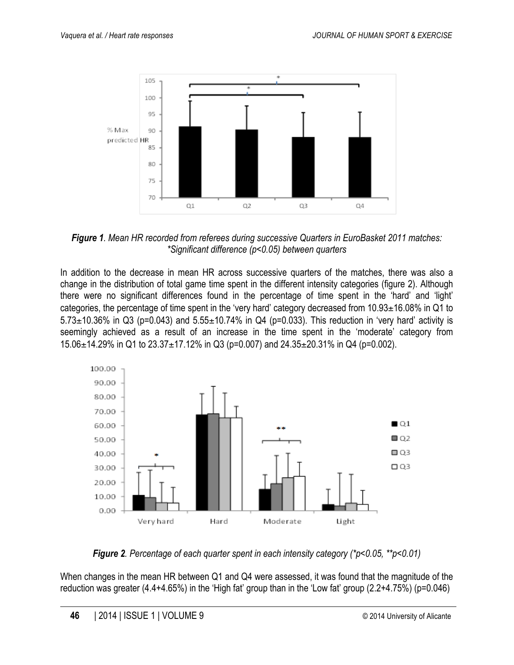

*Figure 1. Mean HR recorded from referees during successive Quarters in EuroBasket 2011 matches: \*Significant difference (p<0.05) between quarters*

In addition to the decrease in mean HR across successive quarters of the matches, there was also a change in the distribution of total game time spent in the different intensity categories (figure 2). Although there were no significant differences found in the percentage of time spent in the 'hard' and 'light' categories, the percentage of time spent in the 'very hard' category decreased from 10.93±16.08% in Q1 to  $5.73\pm10.36\%$  in Q3 (p=0.043) and  $5.55\pm10.74\%$  in Q4 (p=0.033). This reduction in 'very hard' activity is seemingly achieved as a result of an increase in the time spent in the 'moderate' category from 15.06 $\pm$ 14.29% in Q1 to 23.37 $\pm$ 17.12% in Q3 (p=0.007) and 24.35 $\pm$ 20.31% in Q4 (p=0.002).



*Figure 2. Percentage of each quarter spent in each intensity category (\*p<0.05, \*\*p<0.01)*

When changes in the mean HR between Q1 and Q4 were assessed, it was found that the magnitude of the reduction was greater (4.4+4.65%) in the 'High fat' group than in the 'Low fat' group (2.2+4.75%) (p=0.046)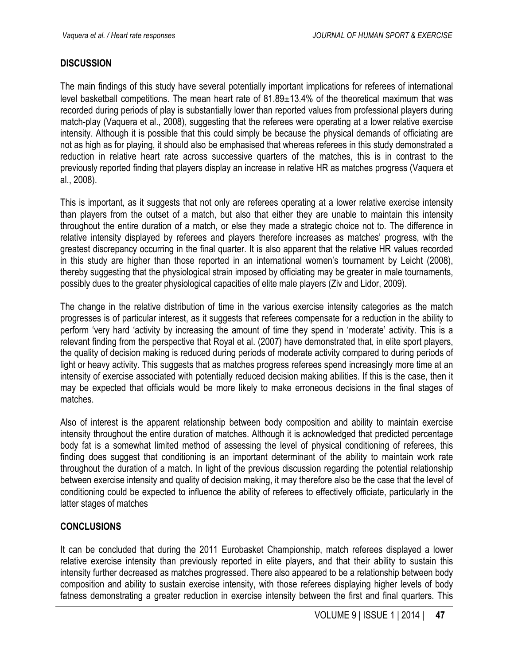#### **DISCUSSION**

The main findings of this study have several potentially important implications for referees of international level basketball competitions. The mean heart rate of 81.89±13.4% of the theoretical maximum that was recorded during periods of play is substantially lower than reported values from professional players during match-play (Vaquera et al., 2008), suggesting that the referees were operating at a lower relative exercise intensity. Although it is possible that this could simply be because the physical demands of officiating are not as high as for playing, it should also be emphasised that whereas referees in this study demonstrated a reduction in relative heart rate across successive quarters of the matches, this is in contrast to the previously reported finding that players display an increase in relative HR as matches progress (Vaquera et al., 2008).

This is important, as it suggests that not only are referees operating at a lower relative exercise intensity than players from the outset of a match, but also that either they are unable to maintain this intensity throughout the entire duration of a match, or else they made a strategic choice not to. The difference in relative intensity displayed by referees and players therefore increases as matches' progress, with the greatest discrepancy occurring in the final quarter. It is also apparent that the relative HR values recorded in this study are higher than those reported in an international women's tournament by Leicht (2008), thereby suggesting that the physiological strain imposed by officiating may be greater in male tournaments, possibly dues to the greater physiological capacities of elite male players (Ziv and Lidor, 2009).

The change in the relative distribution of time in the various exercise intensity categories as the match progresses is of particular interest, as it suggests that referees compensate for a reduction in the ability to perform 'very hard 'activity by increasing the amount of time they spend in 'moderate' activity. This is a relevant finding from the perspective that Royal et al. (2007) have demonstrated that, in elite sport players, the quality of decision making is reduced during periods of moderate activity compared to during periods of light or heavy activity. This suggests that as matches progress referees spend increasingly more time at an intensity of exercise associated with potentially reduced decision making abilities. If this is the case, then it may be expected that officials would be more likely to make erroneous decisions in the final stages of matches.

Also of interest is the apparent relationship between body composition and ability to maintain exercise intensity throughout the entire duration of matches. Although it is acknowledged that predicted percentage body fat is a somewhat limited method of assessing the level of physical conditioning of referees, this finding does suggest that conditioning is an important determinant of the ability to maintain work rate throughout the duration of a match. In light of the previous discussion regarding the potential relationship between exercise intensity and quality of decision making, it may therefore also be the case that the level of conditioning could be expected to influence the ability of referees to effectively officiate, particularly in the latter stages of matches

#### **CONCLUSIONS**

It can be concluded that during the 2011 Eurobasket Championship, match referees displayed a lower relative exercise intensity than previously reported in elite players, and that their ability to sustain this intensity further decreased as matches progressed. There also appeared to be a relationship between body composition and ability to sustain exercise intensity, with those referees displaying higher levels of body fatness demonstrating a greater reduction in exercise intensity between the first and final quarters. This